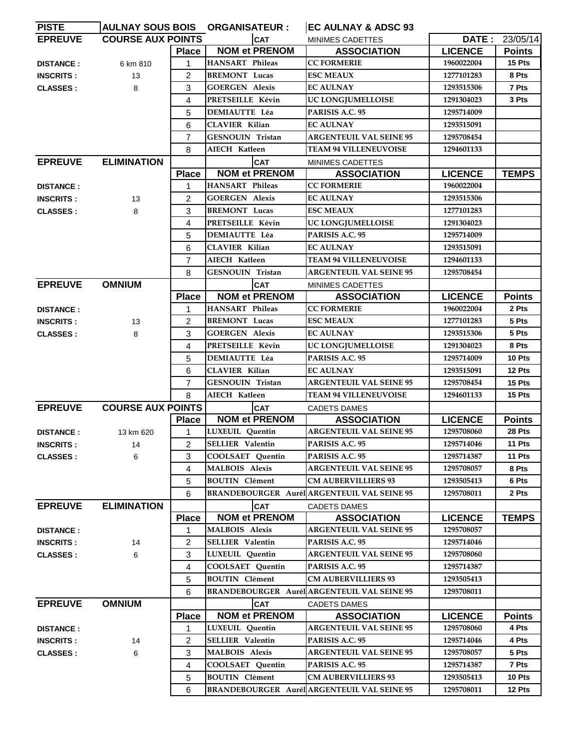| <b>PISTE</b>     |                          |                | <b>AULNAY SOUS BOIS ORGANISATEUR :</b> | EC AULNAY & ADSC 93                                |                |               |
|------------------|--------------------------|----------------|----------------------------------------|----------------------------------------------------|----------------|---------------|
| <b>EPREUVE</b>   | <b>COURSE AUX POINTS</b> |                | <b>CAT</b>                             | <b>MINIMES CADETTES</b>                            | DATE :         | 23/05/14      |
|                  |                          | <b>Place</b>   | <b>NOM et PRENOM</b>                   | <b>ASSOCIATION</b>                                 | <b>LICENCE</b> | <b>Points</b> |
| <b>DISTANCE:</b> | 6 km 810                 | 1              | <b>HANSART</b> Phileas                 | <b>CC FORMERIE</b>                                 | 1960022004     | 15 Pts        |
| <b>INSCRITS:</b> | 13                       | $\overline{2}$ | <b>BREMONT Lucas</b>                   | <b>ESC MEAUX</b>                                   | 1277101283     | 8 Pts         |
| <b>CLASSES:</b>  | 8                        | 3              | <b>GOERGEN Alexis</b>                  | <b>EC AULNAY</b>                                   | 1293515306     | 7 Pts         |
|                  |                          | 4              | PRETSEILLE Kévin                       | UC LONGJUMELLOISE                                  | 1291304023     | 3 Pts         |
|                  |                          | 5              | <b>DEMIAUTTE Léa</b>                   | PARISIS A.C. 95                                    | 1295714009     |               |
|                  |                          | 6              | <b>CLAVIER Kilian</b>                  | <b>EC AULNAY</b>                                   | 1293515091     |               |
|                  |                          | $\overline{7}$ | GESNOUIN Tristan                       | <b>ARGENTEUIL VAL SEINE 95</b>                     | 1295708454     |               |
|                  |                          | 8              | AIECH Katleen                          | <b>TEAM 94 VILLENEUVOISE</b>                       | 1294601133     |               |
| <b>EPREUVE</b>   | <b>ELIMINATION</b>       |                | <b>CAT</b>                             | <b>MINIMES CADETTES</b>                            |                |               |
|                  |                          | <b>Place</b>   | <b>NOM et PRENOM</b>                   | <b>ASSOCIATION</b>                                 | <b>LICENCE</b> | <b>TEMPS</b>  |
| <b>DISTANCE:</b> |                          | 1              | <b>HANSART Phileas</b>                 | <b>CC FORMERIE</b>                                 | 1960022004     |               |
| <b>INSCRITS:</b> | 13                       | $\overline{2}$ | <b>GOERGEN Alexis</b>                  | <b>EC AULNAY</b>                                   | 1293515306     |               |
| <b>CLASSES:</b>  | 8                        | 3              | <b>BREMONT Lucas</b>                   | <b>ESC MEAUX</b>                                   | 1277101283     |               |
|                  |                          | 4              | PRETSEILLE Kévin                       | UC LONGJUMELLOISE                                  | 1291304023     |               |
|                  |                          | 5              | <b>DEMIAUTTE Léa</b>                   | PARISIS A.C. 95                                    | 1295714009     |               |
|                  |                          | 6              | <b>CLAVIER Kilian</b>                  | <b>EC AULNAY</b>                                   | 1293515091     |               |
|                  |                          | $\overline{7}$ | AIECH Katleen                          | <b>TEAM 94 VILLENEUVOISE</b>                       | 1294601133     |               |
|                  |                          | 8              | <b>GESNOUIN Tristan</b>                | <b>ARGENTEUIL VAL SEINE 95</b>                     | 1295708454     |               |
| <b>EPREUVE</b>   | <b>OMNIUM</b>            |                | CAT                                    | <b>MINIMES CADETTES</b>                            |                |               |
|                  |                          | <b>Place</b>   | <b>NOM et PRENOM</b>                   | <b>ASSOCIATION</b>                                 | <b>LICENCE</b> | <b>Points</b> |
| <b>DISTANCE:</b> |                          | 1              | <b>HANSART</b> Phileas                 | <b>CC FORMERIE</b>                                 | 1960022004     | 2 Pts         |
| <b>INSCRITS:</b> | 13                       | $\overline{2}$ | <b>BREMONT</b> Lucas                   | <b>ESC MEAUX</b>                                   | 1277101283     | 5 Pts         |
| <b>CLASSES:</b>  | 8                        | 3              | <b>GOERGEN Alexis</b>                  | <b>EC AULNAY</b>                                   | 1293515306     | 5 Pts         |
|                  |                          | 4              | PRETSEILLE Kévin                       | UC LONGJUMELLOISE                                  | 1291304023     | 8 Pts         |
|                  |                          | 5              | <b>DEMIAUTTE Léa</b>                   | PARISIS A.C. 95                                    | 1295714009     | 10 Pts        |
|                  |                          | 6              | <b>CLAVIER Kilian</b>                  | <b>EC AULNAY</b>                                   | 1293515091     | 12 Pts        |
|                  |                          | 7              | <b>GESNOUIN Tristan</b>                | <b>ARGENTEUIL VAL SEINE 95</b>                     | 1295708454     | 15 Pts        |
|                  |                          | 8              | AIECH Katleen                          | <b>TEAM 94 VILLENEUVOISE</b>                       | 1294601133     | 15 Pts        |
| <b>EPREUVE</b>   | <b>COURSE AUX POINTS</b> |                | <b>CAT</b>                             | <b>CADETS DAMES</b>                                |                |               |
|                  |                          | <b>Place</b>   | <b>NOM et PRENOM</b>                   | <b>ASSOCIATION</b>                                 | <b>LICENCE</b> | <b>Points</b> |
| <b>DISTANCE:</b> | 13 km 620                | 1              | LUXEUIL Quentin                        | <b>ARGENTEUIL VAL SEINE 95</b>                     | 1295708060     | 28 Pts        |
| <b>INSCRITS:</b> | 14                       | 2              | <b>SELLIER Valentin</b>                | PARISIS A.C. 95                                    | 1295714046     | 11 Pts        |
| <b>CLASSES:</b>  | 6                        | 3              | COOLSAET Ouentin                       | PARISIS A.C. 95                                    | 1295714387     | 11 Pts        |
|                  |                          | 4              | <b>MALBOIS</b> Alexis                  | <b>ARGENTEUIL VAL SEINE 95</b>                     | 1295708057     | 8 Pts         |
|                  |                          | 5              | <b>BOUTIN</b> Clément                  | <b>CM AUBERVILLIERS 93</b>                         | 1293505413     | 6 Pts         |
|                  |                          | 6              |                                        | BRANDEBOURGER Aurél ARGENTEUIL VAL SEINE 95        | 1295708011     | 2 Pts         |
| <b>EPREUVE</b>   | <b>ELIMINATION</b>       |                | <b>CAT</b>                             | <b>CADETS DAMES</b>                                |                |               |
|                  |                          | <b>Place</b>   | <b>NOM et PRENOM</b>                   | <b>ASSOCIATION</b>                                 | <b>LICENCE</b> | <b>TEMPS</b>  |
| <b>DISTANCE:</b> |                          | 1              | <b>MALBOIS</b> Alexis                  | <b>ARGENTEUIL VAL SEINE 95</b>                     | 1295708057     |               |
| <b>INSCRITS:</b> | 14                       | 2              | <b>SELLIER Valentin</b>                | PARISIS A.C. 95                                    | 1295714046     |               |
| <b>CLASSES:</b>  | 6                        | 3              | LUXEUIL Quentin                        | <b>ARGENTEUIL VAL SEINE 95</b>                     | 1295708060     |               |
|                  |                          | 4              | <b>COOLSAET Quentin</b>                | PARISIS A.C. 95                                    | 1295714387     |               |
|                  |                          | 5              | <b>BOUTIN</b> Clément                  | <b>CM AUBERVILLIERS 93</b>                         | 1293505413     |               |
|                  |                          | 6              |                                        | <b>BRANDEBOURGER Aurél ARGENTEUIL VAL SEINE 95</b> | 1295708011     |               |
| <b>EPREUVE</b>   | <b>OMNIUM</b>            |                | <b>CAT</b>                             | CADETS DAMES                                       |                |               |
|                  |                          | <b>Place</b>   | <b>NOM et PRENOM</b>                   | <b>ASSOCIATION</b>                                 | <b>LICENCE</b> | <b>Points</b> |
| <b>DISTANCE:</b> |                          | 1              | LUXEUIL Quentin                        | <b>ARGENTEUIL VAL SEINE 95</b>                     | 1295708060     | 4 Pts         |
| <b>INSCRITS:</b> | 14                       | 2              | <b>SELLIER</b> Valentin                | PARISIS A.C. 95                                    | 1295714046     | 4 Pts         |
| <b>CLASSES:</b>  | 6                        | 3              | MALBOIS Alexis                         | <b>ARGENTEUIL VAL SEINE 95</b>                     | 1295708057     | 5 Pts         |
|                  |                          | 4              | COOLSAET Quentin                       | PARISIS A.C. 95                                    | 1295714387     | 7 Pts         |
|                  |                          | 5              | <b>BOUTIN</b> Clément                  | <b>CM AUBERVILLIERS 93</b>                         | 1293505413     | 10 Pts        |
|                  |                          | 6              |                                        | <b>BRANDEBOURGER Aurél ARGENTEUIL VAL SEINE 95</b> | 1295708011     | 12 Pts        |